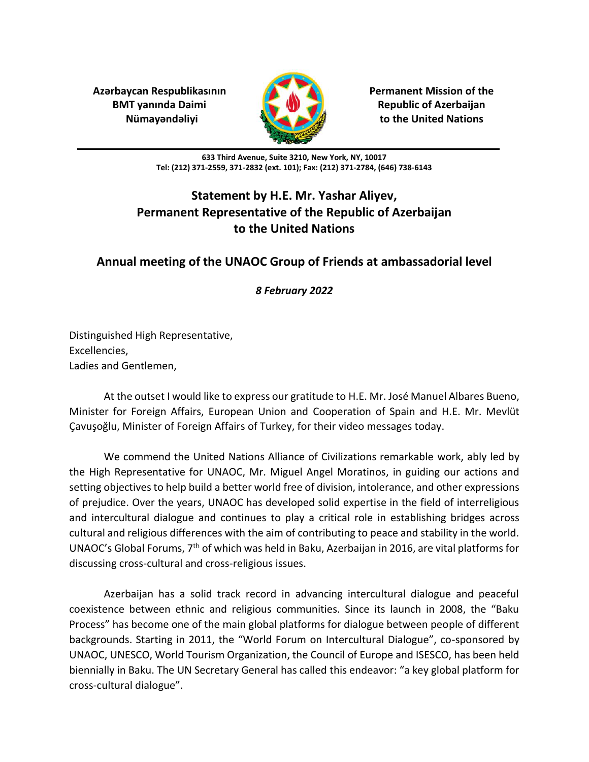**Azərbaycan Respublikasının Permanent Mission of the**



**BMT yanında Daimi Republic of Azerbaijan Nümayəndəliyi to the United Nations**

> **633 Third Avenue, Suite 3210, New York, NY, 10017 Tel: (212) 371-2559, 371-2832 (ext. 101); Fax: (212) 371-2784, (646) 738-6143**

## **Statement by H.E. Mr. Yashar Aliyev, Permanent Representative of the Republic of Azerbaijan to the United Nations**

## **Annual meeting of the UNAOC Group of Friends at ambassadorial level**

*8 February 2022*

Distinguished High Representative, Excellencies, Ladies and Gentlemen,

At the outset I would like to express our gratitude to H.E. Mr. José Manuel Albares Bueno, Minister for Foreign Affairs, European Union and Cooperation of Spain and H.E. Mr. Mevlüt Çavuşoğlu, Minister of Foreign Affairs of Turkey, for their video messages today.

We commend the United Nations Alliance of Civilizations remarkable work, ably led by the High Representative for UNAOC, Mr. Miguel Angel Moratinos, in guiding our actions and setting objectives to help build a better world free of division, intolerance, and other expressions of prejudice. Over the years, UNAOC has developed solid expertise in the field of interreligious and intercultural dialogue and continues to play a critical role in establishing bridges across cultural and religious differences with the aim of contributing to peace and stability in the world. UNAOC's Global Forums,  $7<sup>th</sup>$  of which was held in Baku, Azerbaijan in 2016, are vital platforms for discussing cross-cultural and cross-religious issues.

Azerbaijan has a solid track record in advancing intercultural dialogue and peaceful coexistence between ethnic and religious communities. Since its launch in 2008, the "Baku Process" has become one of the main global platforms for dialogue between people of different backgrounds. Starting in 2011, the "World Forum on Intercultural Dialogue", co-sponsored by UNAOC, UNESCO, World Tourism Organization, the Council of Europe and ISESCO, has been held biennially in Baku. The UN Secretary General has called this endeavor: "a key global platform for cross-cultural dialogue".